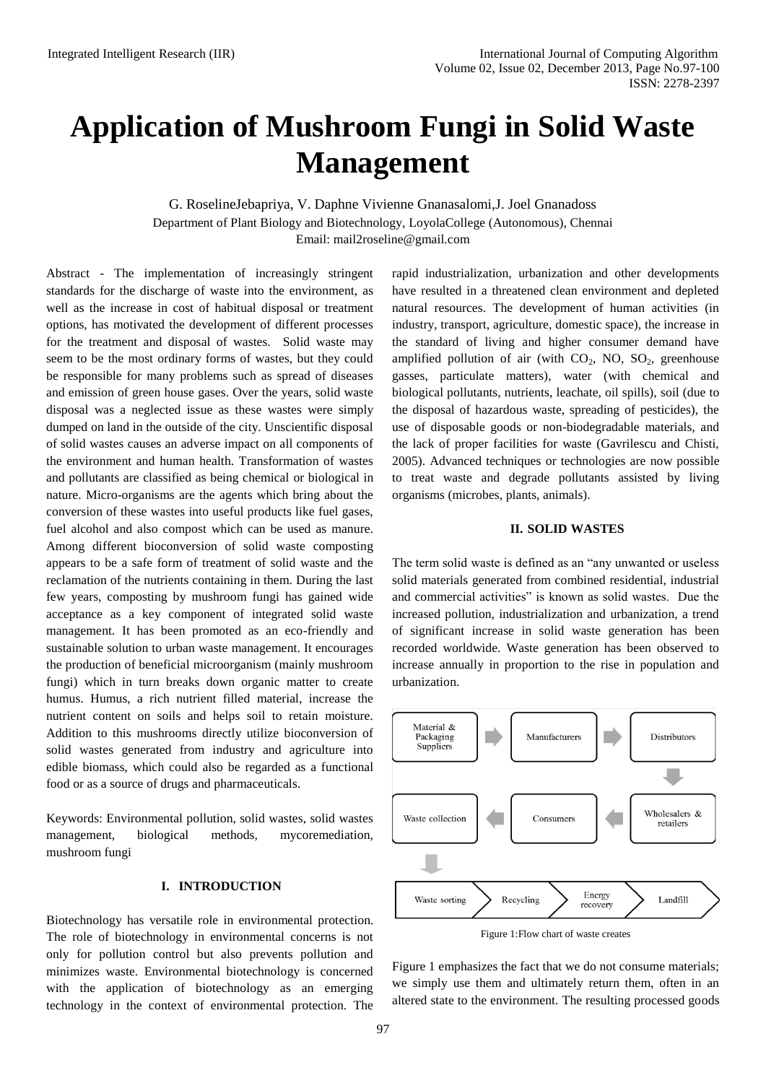# **Application of Mushroom Fungi in Solid Waste Management**

G. RoselineJebapriya, V. Daphne Vivienne Gnanasalomi,J. Joel Gnanadoss Department of Plant Biology and Biotechnology, LoyolaCollege (Autonomous), Chennai Email: [mail2roseline@gmail.com](mailto:mail2roseline@gmail.com)

Abstract - The implementation of increasingly stringent standards for the discharge of waste into the environment, as well as the increase in cost of habitual disposal or treatment options, has motivated the development of different processes for the treatment and disposal of wastes. Solid waste may seem to be the most ordinary forms of wastes, but they could be responsible for many problems such as spread of diseases and emission of green house gases. Over the years, solid waste disposal was a neglected issue as these wastes were simply dumped on land in the outside of the city. Unscientific disposal of solid wastes causes an adverse impact on all components of the environment and human health. Transformation of wastes and pollutants are classified as being chemical or biological in nature. Micro-organisms are the agents which bring about the conversion of these wastes into useful products like fuel gases, fuel alcohol and also compost which can be used as manure. Among different bioconversion of solid waste composting appears to be a safe form of treatment of solid waste and the reclamation of the nutrients containing in them. During the last few years, composting by mushroom fungi has gained wide acceptance as a key component of integrated solid waste management. It has been promoted as an eco-friendly and sustainable solution to urban waste management. It encourages the production of beneficial microorganism (mainly mushroom fungi) which in turn breaks down organic matter to create humus. Humus, a rich nutrient filled material, increase the nutrient content on soils and helps soil to retain moisture. Addition to this mushrooms directly utilize bioconversion of solid wastes generated from industry and agriculture into edible biomass, which could also be regarded as a functional food or as a source of drugs and pharmaceuticals.

Keywords: Environmental pollution, solid wastes, solid wastes management, biological methods, mycoremediation, mushroom fungi

# **I. INTRODUCTION**

Biotechnology has versatile role in environmental protection. The role of biotechnology in environmental concerns is not only for pollution control but also prevents pollution and minimizes waste. Environmental biotechnology is concerned with the application of biotechnology as an emerging technology in the context of environmental protection. The rapid industrialization, urbanization and other developments have resulted in a threatened clean environment and depleted natural resources. The development of human activities (in industry, transport, agriculture, domestic space), the increase in the standard of living and higher consumer demand have amplified pollution of air (with  $CO<sub>2</sub>$ , NO, SO<sub>2</sub>, greenhouse gasses, particulate matters), water (with chemical and biological pollutants, nutrients, leachate, oil spills), soil (due to the disposal of hazardous waste, spreading of pesticides), the use of disposable goods or non-biodegradable materials, and the lack of proper facilities for waste (Gavrilescu and Chisti, 2005). Advanced techniques or technologies are now possible to treat waste and degrade pollutants assisted by living organisms (microbes, plants, animals).

#### **II. SOLID WASTES**

The term solid waste is defined as an "any unwanted or useless solid materials generated from combined residential, industrial and commercial activities" is known as solid wastes. Due the increased pollution, industrialization and urbanization, a trend of significant increase in solid waste generation has been recorded worldwide. Waste generation has been observed to increase annually in proportion to the rise in population and urbanization.



Figure 1:Flow chart of waste creates

Figure 1 emphasizes the fact that we do not consume materials; we simply use them and ultimately return them, often in an altered state to the environment. The resulting processed goods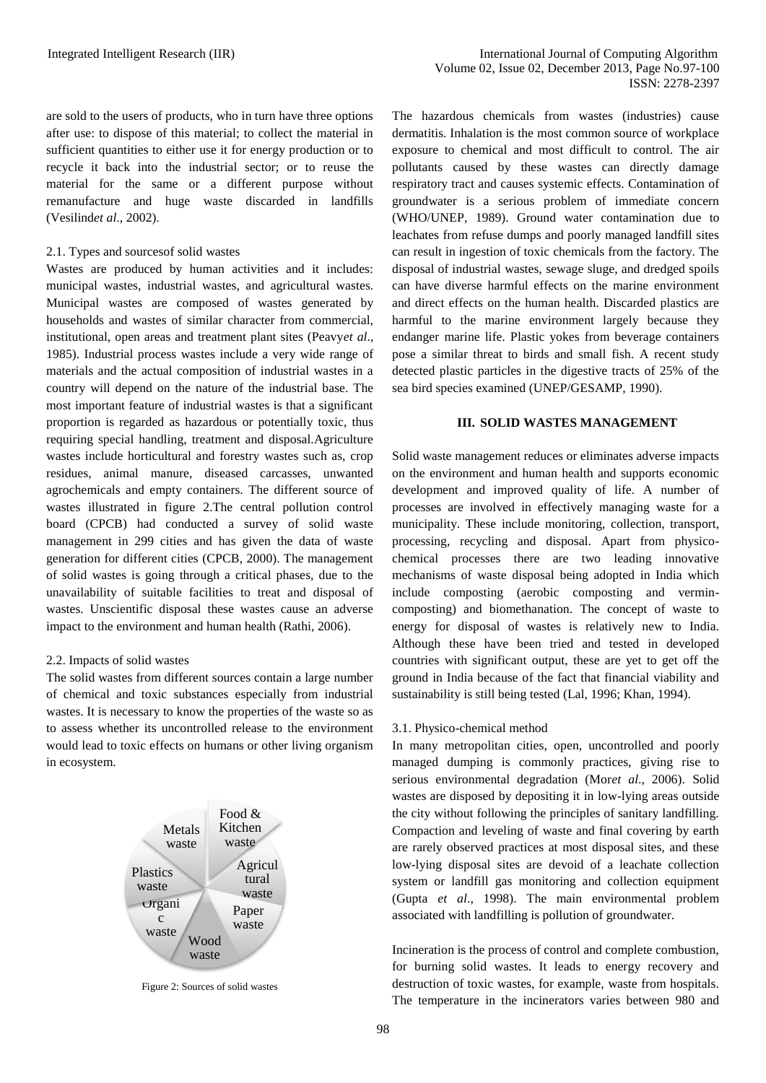are sold to the users of products, who in turn have three options after use: to dispose of this material; to collect the material in sufficient quantities to either use it for energy production or to recycle it back into the industrial sector; or to reuse the material for the same or a different purpose without remanufacture and huge waste discarded in landfills (Vesilind*et al*., 2002).

#### 2.1. Types and sourcesof solid wastes

Wastes are produced by human activities and it includes: municipal wastes, industrial wastes, and agricultural wastes. Municipal wastes are composed of wastes generated by households and wastes of similar character from commercial, institutional, open areas and treatment plant sites (Peavy*et al*., 1985). Industrial process wastes include a very wide range of materials and the actual composition of industrial wastes in a country will depend on the nature of the industrial base. The most important feature of industrial wastes is that a significant proportion is regarded as hazardous or potentially toxic, thus requiring special handling, treatment and disposal.Agriculture wastes include horticultural and forestry wastes such as, crop residues, animal manure, diseased carcasses, unwanted agrochemicals and empty containers. The different source of wastes illustrated in figure 2.The central pollution control board (CPCB) had conducted a survey of solid waste management in 299 cities and has given the data of waste generation for different cities (CPCB, 2000). The management of solid wastes is going through a critical phases, due to the unavailability of suitable facilities to treat and disposal of wastes. Unscientific disposal these wastes cause an adverse impact to the environment and human health (Rathi, 2006).

#### 2.2. Impacts of solid wastes

The solid wastes from different sources contain a large number of chemical and toxic substances especially from industrial wastes. It is necessary to know the properties of the waste so as to assess whether its uncontrolled release to the environment would lead to toxic effects on humans or other living organism in ecosystem.



Figure 2: Sources of solid wastes

The hazardous chemicals from wastes (industries) cause dermatitis. Inhalation is the most common source of workplace exposure to chemical and most difficult to control. The air pollutants caused by these wastes can directly damage respiratory tract and causes systemic effects. Contamination of groundwater is a serious problem of immediate concern (WHO/UNEP, 1989). Ground water contamination due to leachates from refuse dumps and poorly managed landfill sites can result in ingestion of toxic chemicals from the factory. The disposal of industrial wastes, sewage sluge, and dredged spoils can have diverse harmful effects on the marine environment and direct effects on the human health. Discarded plastics are harmful to the marine environment largely because they endanger marine life. Plastic yokes from beverage containers pose a similar threat to birds and small fish. A recent study detected plastic particles in the digestive tracts of 25% of the sea bird species examined (UNEP/GESAMP, 1990).

#### **III. SOLID WASTES MANAGEMENT**

Solid waste management reduces or eliminates adverse impacts on the environment and human health and supports economic development and improved quality of life. A number of processes are involved in effectively managing waste for a municipality. These include monitoring, collection, transport, processing, recycling and disposal. Apart from physicochemical processes there are two leading innovative mechanisms of waste disposal being adopted in India which include composting (aerobic composting and vermincomposting) and biomethanation. The concept of waste to energy for disposal of wastes is relatively new to India. Although these have been tried and tested in developed countries with significant output, these are yet to get off the ground in India because of the fact that financial viability and sustainability is still being tested (Lal, 1996; Khan, 1994).

### 3.1. Physico-chemical method

In many metropolitan cities, open, uncontrolled and poorly managed dumping is commonly practices, giving rise to serious environmental degradation (Mor*et al*., 2006). Solid wastes are disposed by depositing it in low-lying areas outside the city without following the principles of sanitary landfilling. Compaction and leveling of waste and final covering by earth are rarely observed practices at most disposal sites, and these low-lying disposal sites are devoid of a leachate collection system or landfill gas monitoring and collection equipment (Gupta *et al*., 1998). The main environmental problem associated with landfilling is pollution of groundwater.

Incineration is the process of control and complete combustion, for burning solid wastes. It leads to energy recovery and destruction of toxic wastes, for example, waste from hospitals. The temperature in the incinerators varies between 980 and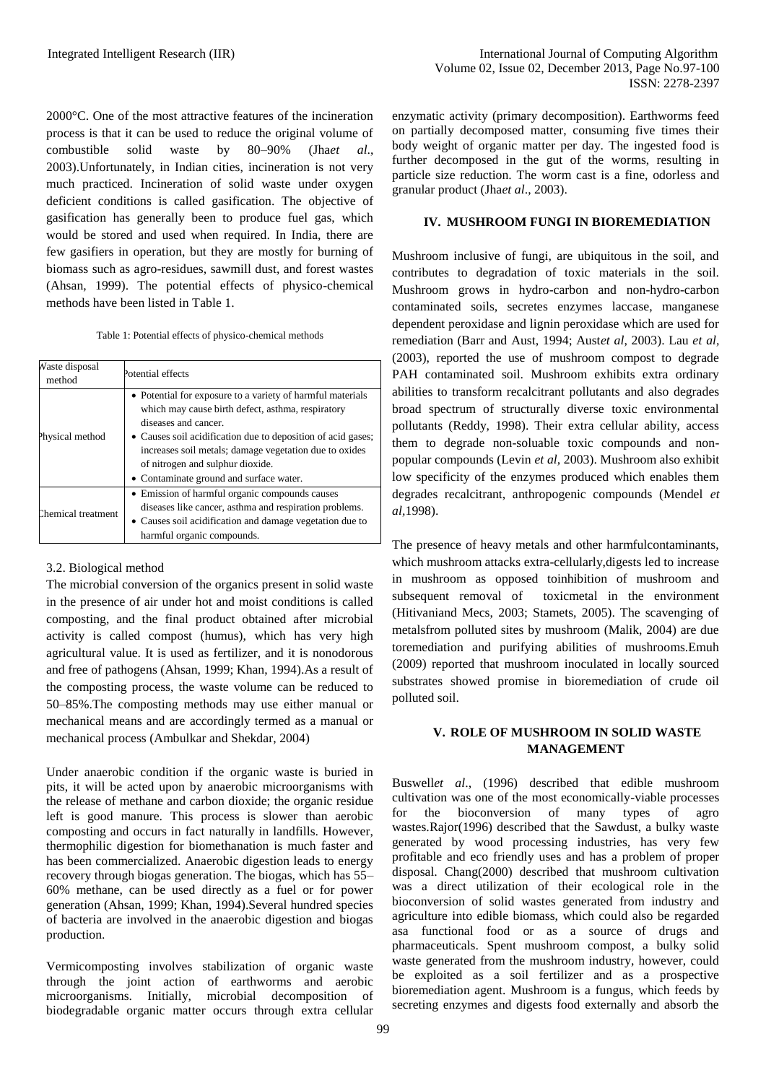2000°C. One of the most attractive features of the incineration process is that it can be used to reduce the original volume of combustible solid waste by 80–90% (Jha*et al*., 2003).Unfortunately, in Indian cities, incineration is not very much practiced. Incineration of solid waste under oxygen deficient conditions is called gasification. The objective of gasification has generally been to produce fuel gas, which would be stored and used when required. In India, there are few gasifiers in operation, but they are mostly for burning of biomass such as agro-residues, sawmill dust, and forest wastes (Ahsan, 1999). The potential effects of physico-chemical methods have been listed in Table 1.

Table 1: Potential effects of physico-chemical methods

| Vaste disposal<br>method | Potential effects                                                                                                                                                                                                                                                                                                                                |
|--------------------------|--------------------------------------------------------------------------------------------------------------------------------------------------------------------------------------------------------------------------------------------------------------------------------------------------------------------------------------------------|
| Physical method          | • Potential for exposure to a variety of harmful materials<br>which may cause birth defect, asthma, respiratory<br>diseases and cancer.<br>• Causes soil acidification due to deposition of acid gases;<br>increases soil metals; damage vegetation due to oxides<br>of nitrogen and sulphur dioxide.<br>• Contaminate ground and surface water. |
| Chemical treatment       | • Emission of harmful organic compounds causes<br>diseases like cancer, asthma and respiration problems.<br>• Causes soil acidification and damage vegetation due to<br>harmful organic compounds.                                                                                                                                               |

### 3.2. Biological method

The microbial conversion of the organics present in solid waste in the presence of air under hot and moist conditions is called composting, and the final product obtained after microbial activity is called compost (humus), which has very high agricultural value. It is used as fertilizer, and it is nonodorous and free of pathogens (Ahsan, 1999; Khan, 1994).As a result of the composting process, the waste volume can be reduced to 50–85%.The composting methods may use either manual or mechanical means and are accordingly termed as a manual or mechanical process (Ambulkar and Shekdar, 2004)

Under anaerobic condition if the organic waste is buried in pits, it will be acted upon by anaerobic microorganisms with the release of methane and carbon dioxide; the organic residue left is good manure. This process is slower than aerobic composting and occurs in fact naturally in landfills. However, thermophilic digestion for biomethanation is much faster and has been commercialized. Anaerobic digestion leads to energy recovery through biogas generation. The biogas, which has 55– 60% methane, can be used directly as a fuel or for power generation (Ahsan, 1999; Khan, 1994).Several hundred species of bacteria are involved in the anaerobic digestion and biogas production.

Vermicomposting involves stabilization of organic waste through the joint action of earthworms and aerobic microorganisms. Initially, microbial decomposition of biodegradable organic matter occurs through extra cellular

enzymatic activity (primary decomposition). Earthworms feed on partially decomposed matter, consuming five times their body weight of organic matter per day. The ingested food is further decomposed in the gut of the worms, resulting in particle size reduction. The worm cast is a fine, odorless and granular product (Jha*et al*., 2003).

### **IV. MUSHROOM FUNGI IN BIOREMEDIATION**

Mushroom inclusive of fungi, are ubiquitous in the soil, and contributes to degradation of toxic materials in the soil. Mushroom grows in hydro-carbon and non-hydro-carbon contaminated soils, secretes enzymes laccase, manganese dependent peroxidase and lignin peroxidase which are used for remediation (Barr and Aust, 1994; Aust*et al*, 2003). Lau *et al,*  (2003), reported the use of mushroom compost to degrade PAH contaminated soil. Mushroom exhibits extra ordinary abilities to transform recalcitrant pollutants and also degrades broad spectrum of structurally diverse toxic environmental pollutants (Reddy, 1998). Their extra cellular ability, access them to degrade non-soluable toxic compounds and nonpopular compounds (Levin *et al*, 2003). Mushroom also exhibit low specificity of the enzymes produced which enables them degrades recalcitrant, anthropogenic compounds (Mendel *et al,*1998).

The presence of heavy metals and other harmfulcontaminants, which mushroom attacks extra-cellularly,digests led to increase in mushroom as opposed toinhibition of mushroom and subsequent removal of toxicmetal in the environment (Hitivaniand Mecs, 2003; Stamets, 2005). The scavenging of metalsfrom polluted sites by mushroom (Malik, 2004) are due toremediation and purifying abilities of mushrooms.Emuh (2009) reported that mushroom inoculated in locally sourced substrates showed promise in bioremediation of crude oil polluted soil.

# **V. ROLE OF MUSHROOM IN SOLID WASTE MANAGEMENT**

Buswell*et al*., (1996) described that edible mushroom cultivation was one of the most economically-viable processes for the bioconversion of many types of agro wastes.Rajor(1996) described that the Sawdust, a bulky waste generated by wood processing industries, has very few profitable and eco friendly uses and has a problem of proper disposal. Chang(2000) described that mushroom cultivation was a direct utilization of their ecological role in the bioconversion of solid wastes generated from industry and agriculture into edible biomass, which could also be regarded asa functional food or as a source of drugs and pharmaceuticals. Spent mushroom compost, a bulky solid waste generated from the mushroom industry, however, could be exploited as a soil fertilizer and as a prospective bioremediation agent. Mushroom is a fungus, which feeds by secreting enzymes and digests food externally and absorb the